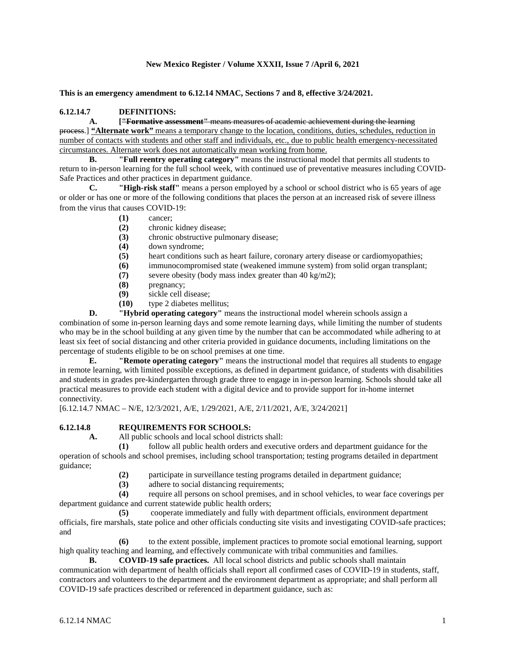## **New Mexico Register / Volume XXXII, Issue 7 /April 6, 2021**

**This is an emergency amendment to 6.12.14 NMAC, Sections 7 and 8, effective 3/24/2021.**

## **6.12.14.7 DEFINITIONS:**

**A. ["Formative assessment"** means measures of academic achievement during the learning process.] **"Alternate work"** means a temporary change to the location, conditions, duties, schedules, reduction in number of contacts with students and other staff and individuals, etc., due to public health emergency-necessitated circumstances. Alternate work does not automatically mean working from home.

**B. "Full reentry operating category"** means the instructional model that permits all students to return to in-person learning for the full school week, with continued use of preventative measures including COVID-Safe Practices and other practices in department guidance.

**C. "High-risk staff"** means a person employed by a school or school district who is 65 years of age or older or has one or more of the following conditions that places the person at an increased risk of severe illness from the virus that causes COVID-19:

- **(1)** cancer;
- **(2)** chronic kidney disease;
- **(3)** chronic obstructive pulmonary disease;
- **(4)** down syndrome;
- **(5)** heart conditions such as heart failure, coronary artery disease or cardiomyopathies;
- **(6)** immunocompromised state (weakened immune system) from solid organ transplant;
- **(7)** severe obesity (body mass index greater than 40 kg/m2);
- **(8)** pregnancy;
- **(9)** sickle cell disease;
- **(10)** type 2 diabetes mellitus;

**D. "Hybrid operating category"** means the instructional model wherein schools assign a

combination of some in-person learning days and some remote learning days, while limiting the number of students who may be in the school building at any given time by the number that can be accommodated while adhering to at least six feet of social distancing and other criteria provided in guidance documents, including limitations on the percentage of students eligible to be on school premises at one time.

**E. "Remote operating category"** means the instructional model that requires all students to engage in remote learning, with limited possible exceptions, as defined in department guidance, of students with disabilities and students in grades pre-kindergarten through grade three to engage in in-person learning. Schools should take all practical measures to provide each student with a digital device and to provide support for in-home internet connectivity.

[6.12.14.7 NMAC – N/E, 12/3/2021, A/E, 1/29/2021, A/E, 2/11/2021, A/E, 3/24/2021]

## **6.12.14.8 REQUIREMENTS FOR SCHOOLS:**

**A.** All public schools and local school districts shall:

**(1)** follow all public health orders and executive orders and department guidance for the operation of schools and school premises, including school transportation; testing programs detailed in department guidance;

(2) participate in surveillance testing programs detailed in department guidance;<br>(3) adhere to social distancing requirements:

**(3)** adhere to social distancing requirements;

**(4)** require all persons on school premises, and in school vehicles, to wear face coverings per department guidance and current statewide public health orders;

**(5)** cooperate immediately and fully with department officials, environment department officials, fire marshals, state police and other officials conducting site visits and investigating COVID-safe practices; and

**(6)** to the extent possible, implement practices to promote social emotional learning, support high quality teaching and learning, and effectively communicate with tribal communities and families.

**B. COVID-19 safe practices.** All local school districts and public schools shall maintain communication with department of health officials shall report all confirmed cases of COVID-19 in students, staff, contractors and volunteers to the department and the environment department as appropriate; and shall perform all COVID-19 safe practices described or referenced in department guidance, such as: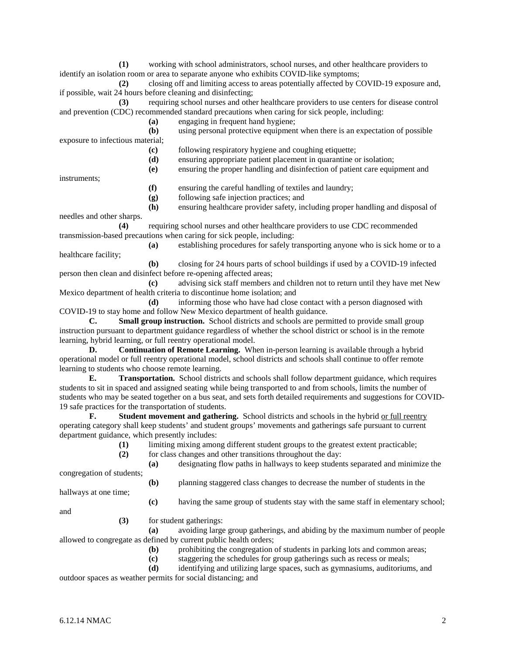**(1)** working with school administrators, school nurses, and other healthcare providers to identify an isolation room or area to separate anyone who exhibits COVID-like symptoms;

**(2)** closing off and limiting access to areas potentially affected by COVID-19 exposure and, if possible, wait 24 hours before cleaning and disinfecting;

**(3)** requiring school nurses and other healthcare providers to use centers for disease control and prevention (CDC) recommended standard precautions when caring for sick people, including:

- **(a)** engaging in frequent hand hygiene;
- **(b)** using personal protective equipment when there is an expectation of possible exposure to infectious material;

**(c)** following respiratory hygiene and coughing etiquette;

**(d)** ensuring appropriate patient placement in quarantine or isolation;

**(e)** ensuring the proper handling and disinfection of patient care equipment and

instruments;

- **(f)** ensuring the careful handling of textiles and laundry;
- **(g)** following safe injection practices; and
- **(h)** ensuring healthcare provider safety, including proper handling and disposal of

needles and other sharps.

**(4)** requiring school nurses and other healthcare providers to use CDC recommended transmission-based precautions when caring for sick people, including:

**(a)** establishing procedures for safely transporting anyone who is sick home or to a healthcare facility;

**(b)** closing for 24 hours parts of school buildings if used by a COVID-19 infected person then clean and disinfect before re-opening affected areas;

**(c)** advising sick staff members and children not to return until they have met New Mexico department of health criteria to discontinue home isolation; and

**(d)** informing those who have had close contact with a person diagnosed with COVID-19 to stay home and follow New Mexico department of health guidance.

**C. Small group instruction.** School districts and schools are permitted to provide small group instruction pursuant to department guidance regardless of whether the school district or school is in the remote learning, hybrid learning, or full reentry operational model.

**D. Continuation of Remote Learning.** When in-person learning is available through a hybrid operational model or full reentry operational model, school districts and schools shall continue to offer remote learning to students who choose remote learning.

**E. Transportation.** School districts and schools shall follow department guidance, which requires students to sit in spaced and assigned seating while being transported to and from schools, limits the number of students who may be seated together on a bus seat, and sets forth detailed requirements and suggestions for COVID-19 safe practices for the transportation of students.

**F. Student movement and gathering.** School districts and schools in the hybrid or full reentry operating category shall keep students' and student groups' movements and gatherings safe pursuant to current department guidance, which presently includes:

**(1)** limiting mixing among different student groups to the greatest extent practicable;

**(2)** for class changes and other transitions throughout the day:

**(a)** designating flow paths in hallways to keep students separated and minimize the

congregation of students; **(b)** planning staggered class changes to decrease the number of students in the

hallways at one time;

**(c)** having the same group of students stay with the same staff in elementary school;

and

**(3)** for student gatherings:

**(a)** avoiding large group gatherings, and abiding by the maximum number of people allowed to congregate as defined by current public health orders;

**(b)** prohibiting the congregation of students in parking lots and common areas;

**(c)** staggering the schedules for group gatherings such as recess or meals;

**(d)** identifying and utilizing large spaces, such as gymnasiums, auditoriums, and

outdoor spaces as weather permits for social distancing; and